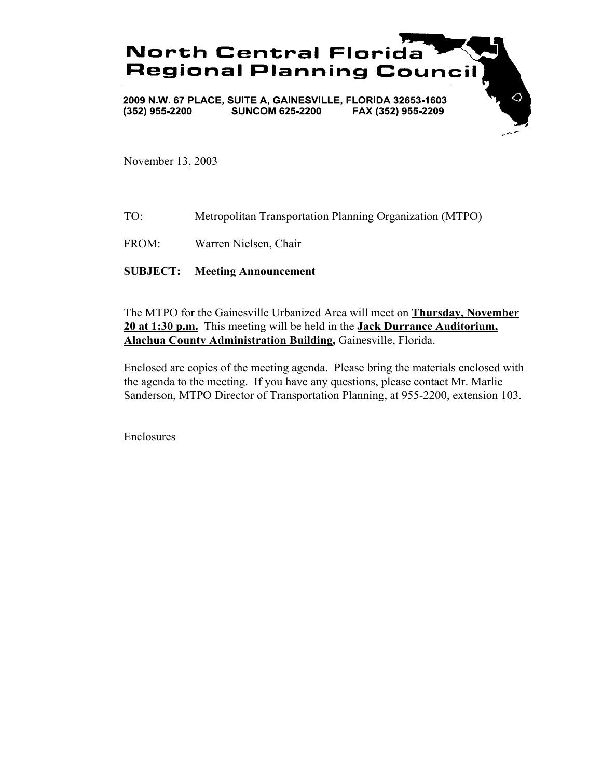

November 13, 2003

- TO: Metropolitan Transportation Planning Organization (MTPO)
- FROM: Warren Nielsen, Chair

### **SUBJECT: Meeting Announcement**

The MTPO for the Gainesville Urbanized Area will meet on **Thursday, November 20 at 1:30 p.m.** This meeting will be held in the **Jack Durrance Auditorium, Alachua County Administration Building,** Gainesville, Florida.

Enclosed are copies of the meeting agenda. Please bring the materials enclosed with the agenda to the meeting. If you have any questions, please contact Mr. Marlie Sanderson, MTPO Director of Transportation Planning, at 955-2200, extension 103.

Enclosures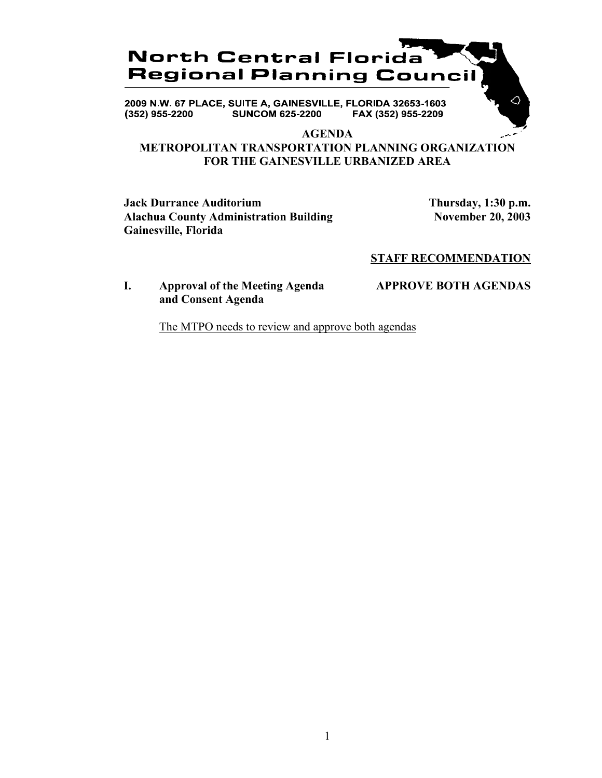## **North Central Florida Regional Planning Council**

2009 N.W. 67 PLACE, SUITE A, GAINESVILLE, FLORIDA 32653-1603 **SUNCOM 625-2200**  $(352)$  955-2200 FAX (352) 955-2209

### **AGENDA**

### **METROPOLITAN TRANSPORTATION PLANNING ORGANIZATION FOR THE GAINESVILLE URBANIZED AREA**

**Jack Durrance Auditorium Thursday, 1:30 p.m.** Alachua County Administration Building November 20, 2003 **Gainesville, Florida**

∧

### **STAFF RECOMMENDATION**

### **I. Approval of the Meeting Agenda APPROVE BOTH AGENDAS and Consent Agenda**

The MTPO needs to review and approve both agendas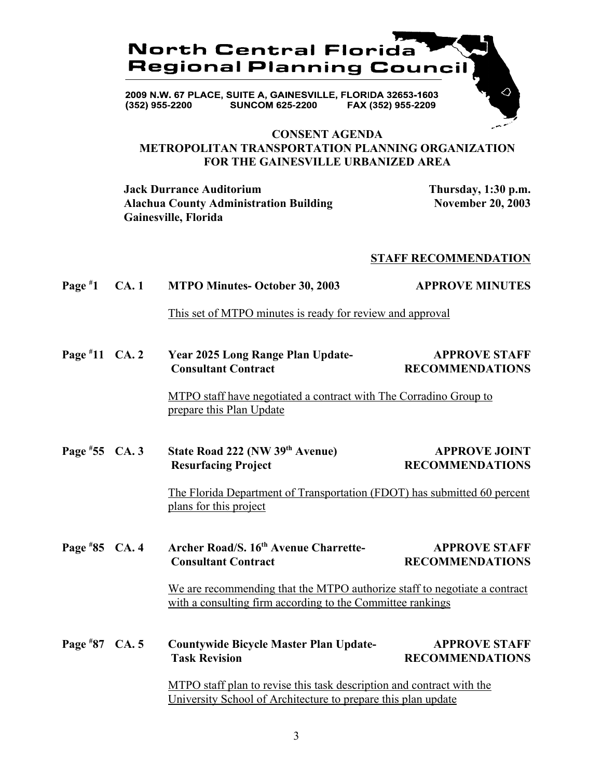

### **CONSENT AGENDA METROPOLITAN TRANSPORTATION PLANNING ORGANIZATION FOR THE GAINESVILLE URBANIZED AREA**

**Jack Durrance Auditorium Thursday, 1:30 p.m.** Alachua County Administration Building November 20, 2003 **Gainesville, Florida**

### **STAFF RECOMMENDATION**

#### **Page # 1 CA. 1 MTPO Minutes- October 30, 2003 APPROVE MINUTES**

This set of MTPO minutes is ready for review and approval

**Page # 11 Year 2025 Long Range Plan Update-** APPROVE STAFF **Consultant Contract RECOMMENDATIONS** 

> MTPO staff have negotiated a contract with The Corradino Group to prepare this Plan Update

Page #55 CA. 3 **55 State Road 222 (NW 39<sup>th</sup> Avenue) APPROVE JOINT Resurfacing Project RECOMMENDATIONS** 

> The Florida Department of Transportation (FDOT) has submitted 60 percent plans for this project

**Page #** Archer Road/S. 16<sup>th</sup> Avenue Charrette- **APPROVE STAFF Consultant Contract RECOMMENDATIONS** 

> We are recommending that the MTPO authorize staff to negotiate a contract with a consulting firm according to the Committee rankings

**Page # 87 Countywide Bicycle Master Plan Update-** APPROVE STAFF **Task Revision RECOMMENDATIONS** 

> MTPO staff plan to revise this task description and contract with the University School of Architecture to prepare this plan update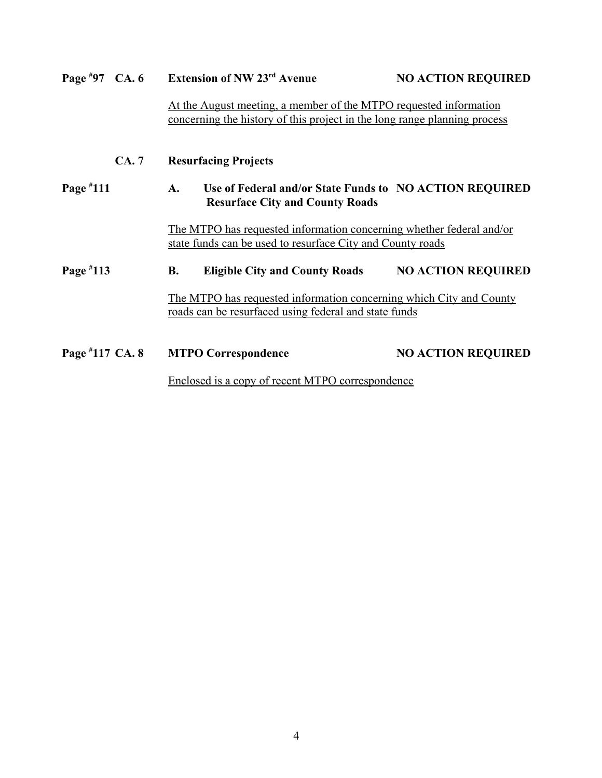| Page $*97$ CA. 6 |             |                                                                                                                                                | <b>Extension of NW 23rd Avenue</b>                                                                | <b>NO ACTION REQUIRED</b> |
|------------------|-------------|------------------------------------------------------------------------------------------------------------------------------------------------|---------------------------------------------------------------------------------------------------|---------------------------|
|                  |             | At the August meeting, a member of the MTPO requested information<br>concerning the history of this project in the long range planning process |                                                                                                   |                           |
|                  | <b>CA.7</b> | <b>Resurfacing Projects</b>                                                                                                                    |                                                                                                   |                           |
| Page $*111$      |             | A.                                                                                                                                             | Use of Federal and/or State Funds to NO ACTION REQUIRED<br><b>Resurface City and County Roads</b> |                           |
|                  |             | The MTPO has requested information concerning whether federal and/or<br>state funds can be used to resurface City and County roads             |                                                                                                   |                           |
| Page $*113$      |             | <b>B.</b>                                                                                                                                      | <b>Eligible City and County Roads</b>                                                             | <b>NO ACTION REQUIRED</b> |
|                  |             | The MTPO has requested information concerning which City and County<br>roads can be resurfaced using federal and state funds                   |                                                                                                   |                           |
| Page #117 CA. 8  |             |                                                                                                                                                | <b>MTPO Correspondence</b>                                                                        | <b>NO ACTION REQUIRED</b> |
|                  |             | <u>Enclosed is a copy of recent MTPO correspondence</u>                                                                                        |                                                                                                   |                           |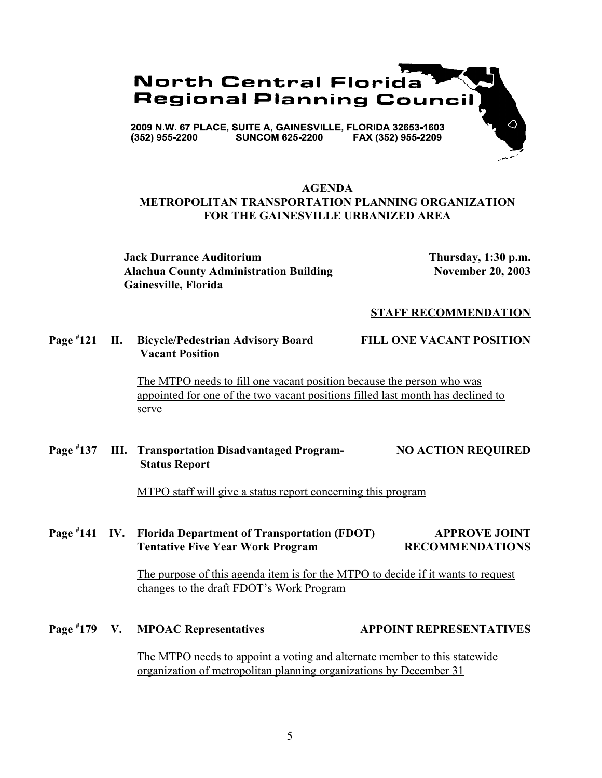

### **AGENDA METROPOLITAN TRANSPORTATION PLANNING ORGANIZATION FOR THE GAINESVILLE URBANIZED AREA**

**Jack Durrance Auditorium Thursday, 1:30 p.m.** Alachua County Administration Building November 20, 2003 **Gainesville, Florida**

### **STAFF RECOMMENDATION**

**Page # 121 II. Bicycle/Pedestrian Advisory Board FILL ONE VACANT POSITION Vacant Position**

The MTPO needs to fill one vacant position because the person who was appointed for one of the two vacant positions filled last month has declined to serve

**Page # 137 III. Transportation Disadvantaged Program- NO ACTION REQUIRED Status Report**

MTPO staff will give a status report concerning this program

### **Page # 141 IV. Florida Department of Transportation (FDOT) APPROVE JOINT Tentative Five Year Work Program RECOMMENDATIONS**

The purpose of this agenda item is for the MTPO to decide if it wants to request changes to the draft FDOT's Work Program

**Page #** V. MPOAC Representatives **179 APPOINT REPRESENTATIVES** 

> The MTPO needs to appoint a voting and alternate member to this statewide organization of metropolitan planning organizations by December 31